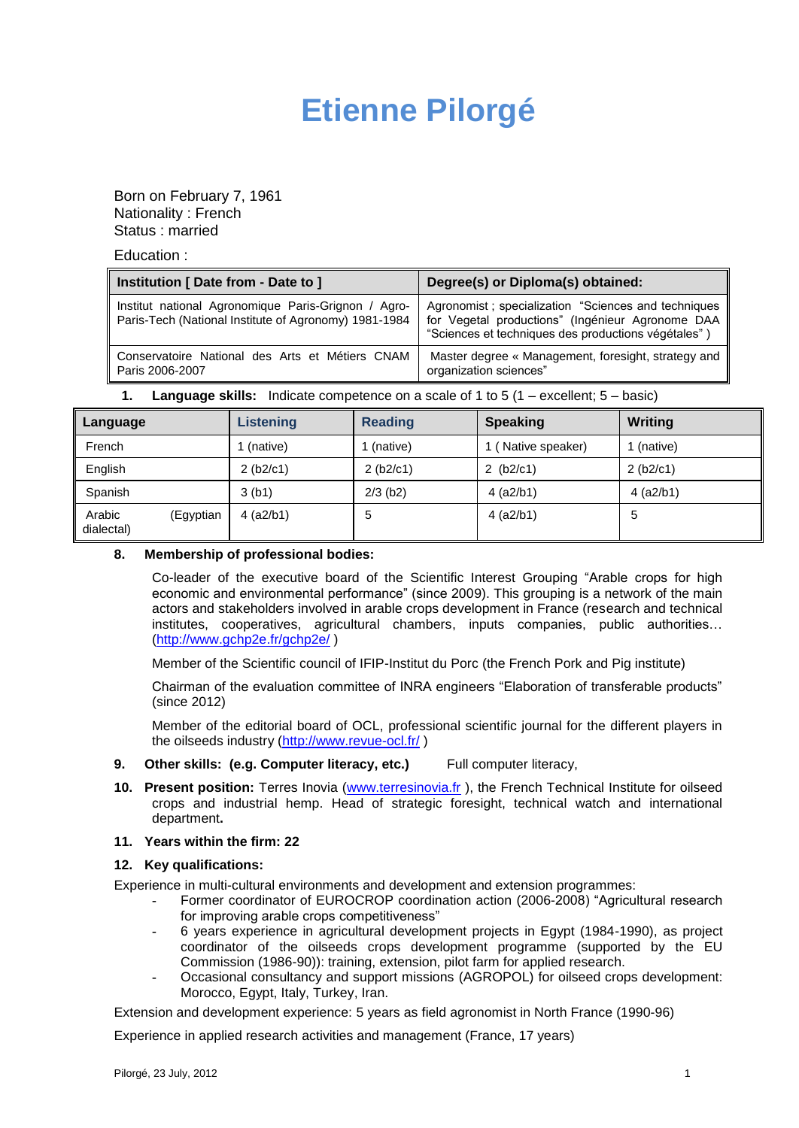# **Etienne Pilorgé**

Born on February 7, 1961 Nationality : French Status : married

Education :

| Institution [ Date from - Date to ]                                                                          | Degree(s) or Diploma(s) obtained:                                                                                                                               |  |
|--------------------------------------------------------------------------------------------------------------|-----------------------------------------------------------------------------------------------------------------------------------------------------------------|--|
| Institut national Agronomique Paris-Grignon / Agro-<br>Paris-Tech (National Institute of Agronomy) 1981-1984 | Agronomist; specialization "Sciences and techniques"<br>for Vegetal productions" (Ingénieur Agronome DAA<br>"Sciences et techniques des productions végétales") |  |
| Conservatoire National des Arts et Métiers CNAM<br>Paris 2006-2007                                           | Master degree « Management, foresight, strategy and<br>organization sciences"                                                                                   |  |

**1. Language skills:** Indicate competence on a scale of 1 to 5 (1 – excellent; 5 – basic)

| Language             |           | <b>Listening</b> | <b>Reading</b> | <b>Speaking</b>  | Writing     |
|----------------------|-----------|------------------|----------------|------------------|-------------|
| French               |           | (native)         | (native)       | (Native speaker) | l (native)  |
| English              |           | 2 (b2/c1)        | 2 (b2/c1)      | 2 $(b2/c1)$      | 2(b2/c1)    |
| Spanish              |           | 3(h1)            | $2/3$ (b2)     | $4$ (a2/b1)      | $4$ (a2/b1) |
| Arabic<br>dialectal) | (Egyptian | $4$ (a2/b1)      | 5              | $4$ (a2/b1)      | 5           |

#### **8. Membership of professional bodies:**

Co-leader of the executive board of the Scientific Interest Grouping "Arable crops for high economic and environmental performance" (since 2009). This grouping is a network of the main actors and stakeholders involved in arable crops development in France (research and technical institutes, cooperatives, agricultural chambers, inputs companies, public authorities… [\(http://www.gchp2e.fr/gchp2e/](http://www.gchp2e.fr/gchp2e/) )

Member of the Scientific council of IFIP-Institut du Porc (the French Pork and Pig institute)

Chairman of the evaluation committee of INRA engineers "Elaboration of transferable products" (since 2012)

Member of the editorial board of OCL, professional scientific journal for the different players in the oilseeds industry [\(http://www.revue-ocl.fr/](http://www.revue-ocl.fr/) )

- **9. Other skills: (e.g. Computer literacy, etc.)** Full computer literacy,
- **10. Present position:** Terres Inovia [\(www.terresinovia.fr](http://www.terresinovia.fr/) ), the French Technical Institute for oilseed crops and industrial hemp. Head of strategic foresight, technical watch and international department**.**

### **11. Years within the firm: 22**

#### **12. Key qualifications:**

Experience in multi-cultural environments and development and extension programmes:

- **-** Former coordinator of EUROCROP coordination action (2006-2008) "Agricultural research for improving arable crops competitiveness"
- **-** 6 years experience in agricultural development projects in Egypt (1984-1990), as project coordinator of the oilseeds crops development programme (supported by the EU Commission (1986-90)): training, extension, pilot farm for applied research.
- **-** Occasional consultancy and support missions (AGROPOL) for oilseed crops development: Morocco, Egypt, Italy, Turkey, Iran.

Extension and development experience: 5 years as field agronomist in North France (1990-96)

Experience in applied research activities and management (France, 17 years)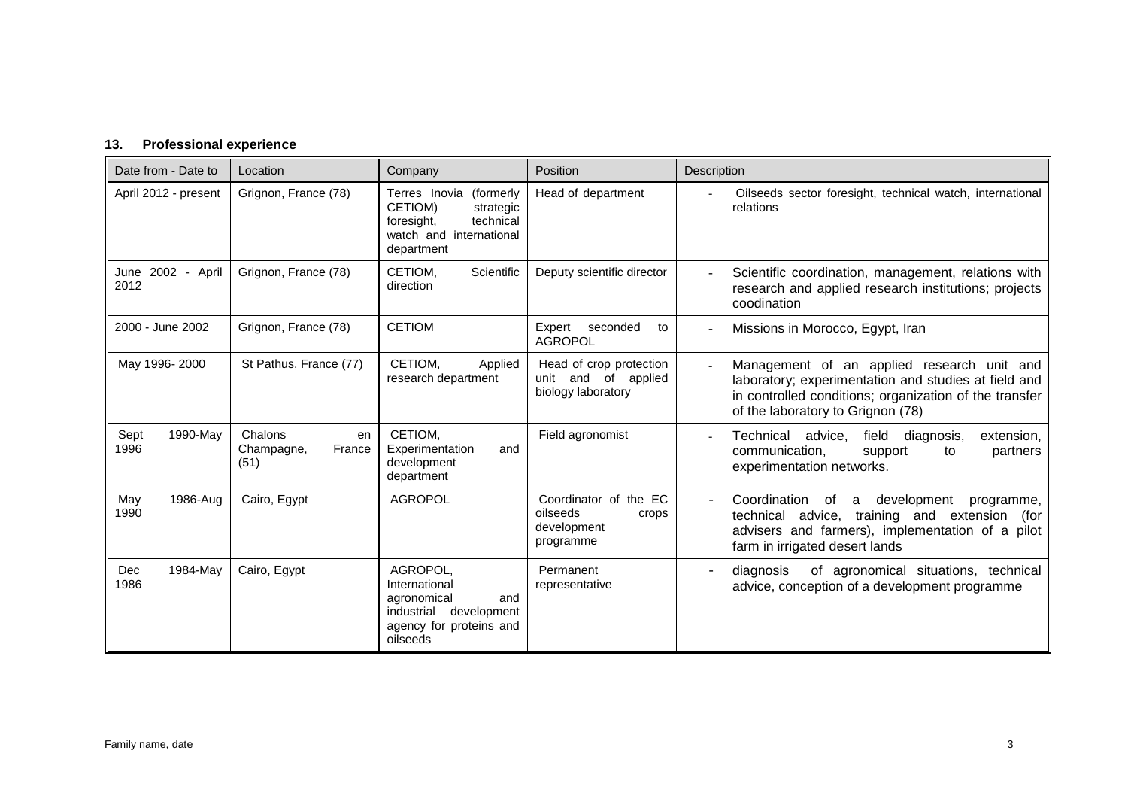## **13. Professional experience**

| Date from - Date to       | Location                                      | Company                                                                                                             | Position                                                               | <b>Description</b>                                                                                                                                                                                |
|---------------------------|-----------------------------------------------|---------------------------------------------------------------------------------------------------------------------|------------------------------------------------------------------------|---------------------------------------------------------------------------------------------------------------------------------------------------------------------------------------------------|
| April 2012 - present      | Grignon, France (78)                          | Terres Inovia (formerly<br>CETIOM)<br>strategic<br>technical<br>foresight,<br>watch and international<br>department | Head of department                                                     | Oilseeds sector foresight, technical watch, international<br>relations                                                                                                                            |
| June 2002 - April<br>2012 | Grignon, France (78)                          | CETIOM.<br>Scientific<br>direction                                                                                  | Deputy scientific director                                             | Scientific coordination, management, relations with<br>research and applied research institutions; projects<br>coodination                                                                        |
| 2000 - June 2002          | Grignon, France (78)                          | <b>CETIOM</b>                                                                                                       | Expert seconded<br>to<br><b>AGROPOL</b>                                | Missions in Morocco, Egypt, Iran                                                                                                                                                                  |
| May 1996-2000             | St Pathus, France (77)                        | CETIOM,<br>Applied<br>research department                                                                           | Head of crop protection<br>unit and of applied<br>biology laboratory   | Management of an applied research unit and<br>laboratory; experimentation and studies at field and<br>in controlled conditions; organization of the transfer<br>of the laboratory to Grignon (78) |
| Sept<br>1990-May<br>1996  | Chalons<br>en<br>France<br>Champagne,<br>(51) | CETIOM,<br>Experimentation<br>and<br>development<br>department                                                      | Field agronomist                                                       | Technical<br>advice,<br>field<br>diagnosis,<br>extension,<br>communication,<br>partners<br>support<br>to<br>experimentation networks.                                                             |
| 1986-Aug<br>May<br>1990   | Cairo, Egypt                                  | <b>AGROPOL</b>                                                                                                      | Coordinator of the EC<br>oilseeds<br>crops<br>development<br>programme | Coordination of<br>development<br>a<br>programme,<br>technical advice, training and<br>extension<br>(for<br>advisers and farmers), implementation of a pilot<br>farm in irrigated desert lands    |
| 1984-May<br>Dec<br>1986   | Cairo, Egypt                                  | AGROPOL.<br>International<br>agronomical<br>and<br>industrial<br>development<br>agency for proteins and<br>oilseeds | Permanent<br>representative                                            | of agronomical situations, technical<br>diagnosis<br>advice, conception of a development programme                                                                                                |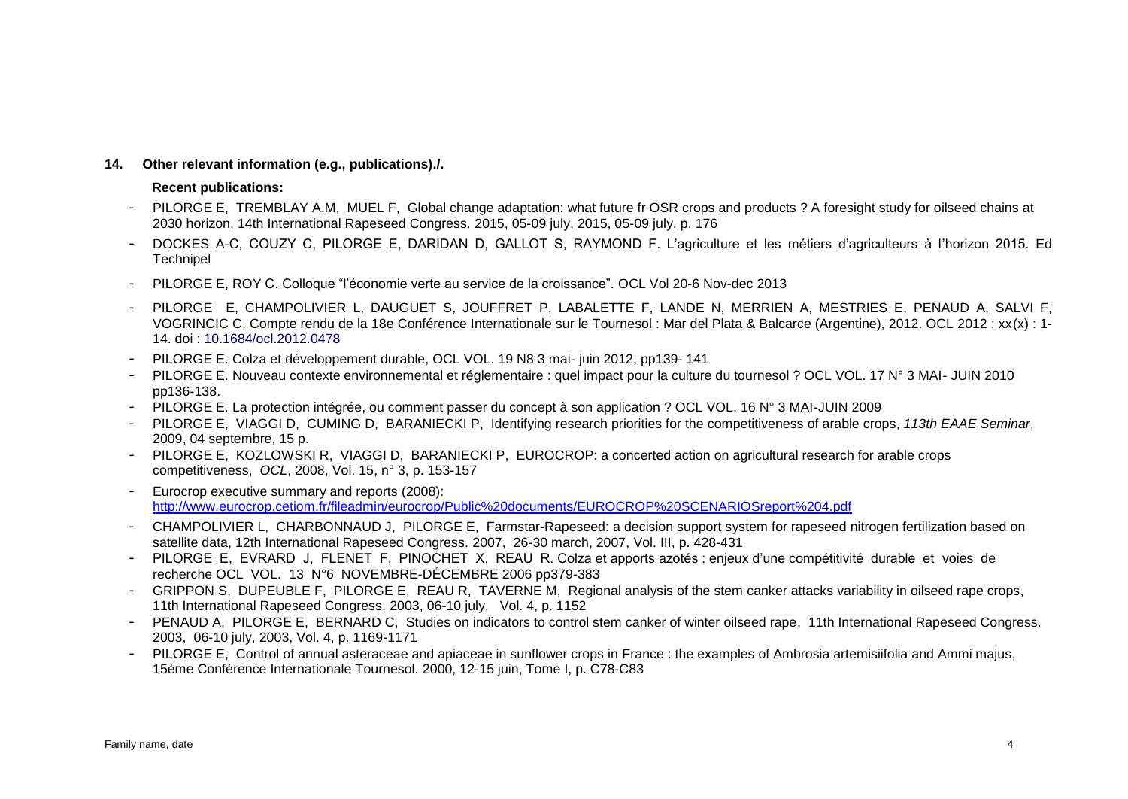#### **14. Other relevant information (e.g., publications)./.**

#### **Recent publications:**

- PILORGE E, TREMBLAY A.M, MUEL F, Global change adaptation: what future fr OSR crops and products ? A foresight study for oilseed chains at 2030 horizon, 14th International Rapeseed Congress. 2015, 05-09 july, 2015, 05-09 july, p. 176
- DOCKES A-C, COUZY C, PILORGE E, DARIDAN D, GALLOT S, RAYMOND F. L'agriculture et les métiers d'agriculteurs à l'horizon 2015. Ed **Technipel**
- PILORGE E, ROY C. Colloque "l'économie verte au service de la croissance". OCL Vol 20-6 Nov-dec 2013
- PILORGE E, CHAMPOLIVIER L, DAUGUET S, JOUFFRET P, LABALETTE F, LANDE N, MERRIEN A, MESTRIES E, PENAUD A, SALVI F, VOGRINCIC C. Compte rendu de la 18e Conférence Internationale sur le Tournesol : Mar del Plata & Balcarce (Argentine), 2012. OCL 2012 ; xx(x) : 1- 14. doi : 10.1684/ocl.2012.0478
- PILORGE E. Colza et développement durable, OCL VOL. 19 N8 3 mai- juin 2012, pp139- 141
- PILORGE E. Nouveau contexte environnemental et réglementaire : quel impact pour la culture du tournesol ? OCL VOL. 17 N° 3 MAI- JUIN 2010 pp136-138.
- PILORGE E. La protection intégrée, ou comment passer du concept à son application ? OCL VOL. 16 N° 3 MAI-JUIN 2009
- PILORGE E, VIAGGI D, CUMING D, BARANIECKI P, Identifying research priorities for the competitiveness of arable crops, *113th EAAE Seminar*, 2009, 04 septembre, 15 p.
- PILORGE E, KOZLOWSKI R, VIAGGI D, BARANIECKI P, EUROCROP: a concerted action on agricultural research for arable crops competitiveness, *OCL*, 2008, Vol. 15, n° 3, p. 153-157
- Eurocrop executive summary and reports (2008): <http://www.eurocrop.cetiom.fr/fileadmin/eurocrop/Public%20documents/EUROCROP%20SCENARIOSreport%204.pdf>
- CHAMPOLIVIER L, CHARBONNAUD J, PILORGE E, Farmstar-Rapeseed: a decision support system for rapeseed nitrogen fertilization based on satellite data, 12th International Rapeseed Congress. 2007, 26-30 march, 2007, Vol. III, p. 428-431
- PILORGE E, EVRARD J, FLENET F, PINOCHET X, REAU R. Colza et apports azotés : enjeux d'une compétitivité durable et voies de recherche OCL VOL. 13 N°6 NOVEMBRE-DÉCEMBRE 2006 pp379-383
- GRIPPON S, DUPEUBLE F, PILORGE E, REAU R, TAVERNE M, Regional analysis of the stem canker attacks variability in oilseed rape crops, 11th International Rapeseed Congress. 2003, 06-10 july, Vol. 4, p. 1152
- PENAUD A, PILORGE E, BERNARD C, Studies on indicators to control stem canker of winter oilseed rape, 11th International Rapeseed Congress. 2003, 06-10 july, 2003, Vol. 4, p. 1169-1171
- PILORGE E, Control of annual asteraceae and apiaceae in sunflower crops in France : the examples of Ambrosia artemisiifolia and Ammi majus, 15ème Conférence Internationale Tournesol. 2000, 12-15 juin, Tome I, p. C78-C83